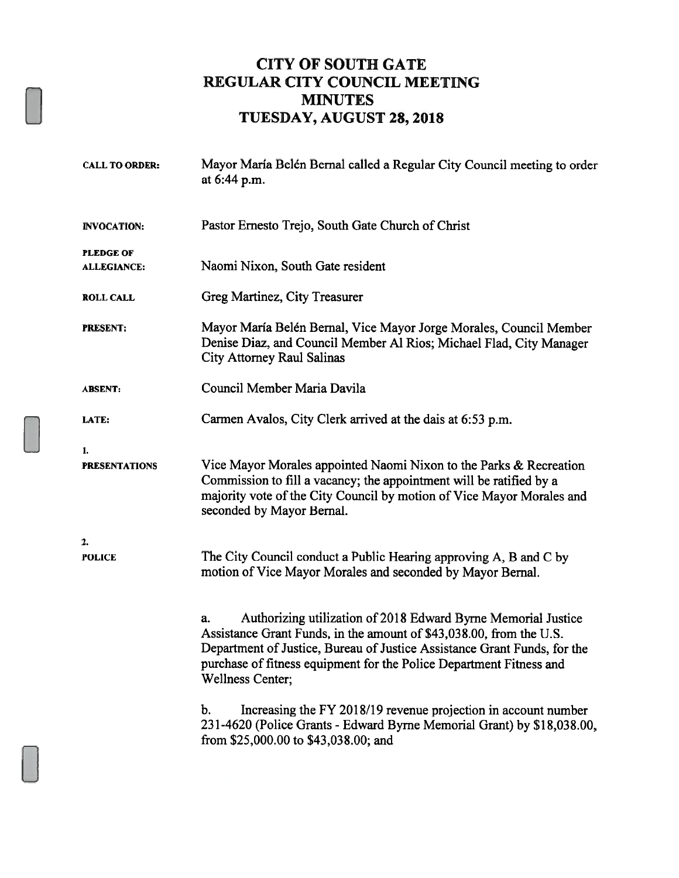#### CITY OF SOUTH GATE REGULAR CITY COUNCIL MEETING **MINUTES** TUESDAY, AUGUST 28, 2018

| <b>CALL TO ORDER:</b>                  | Mayor María Belén Bernal called a Regular City Council meeting to order<br>at 6:44 p.m.                                                                                                                                                                                                                                  |
|----------------------------------------|--------------------------------------------------------------------------------------------------------------------------------------------------------------------------------------------------------------------------------------------------------------------------------------------------------------------------|
| <b>INVOCATION:</b>                     | Pastor Ernesto Trejo, South Gate Church of Christ                                                                                                                                                                                                                                                                        |
| <b>PLEDGE OF</b><br><b>ALLEGIANCE:</b> | Naomi Nixon, South Gate resident                                                                                                                                                                                                                                                                                         |
| <b>ROLL CALL</b>                       | Greg Martinez, City Treasurer                                                                                                                                                                                                                                                                                            |
| <b>PRESENT:</b>                        | Mayor María Belén Bernal, Vice Mayor Jorge Morales, Council Member<br>Denise Diaz, and Council Member Al Rios; Michael Flad, City Manager<br><b>City Attorney Raul Salinas</b>                                                                                                                                           |
| <b>ABSENT:</b>                         | Council Member Maria Davila                                                                                                                                                                                                                                                                                              |
| LATE:                                  | Carmen Avalos, City Clerk arrived at the dais at 6:53 p.m.                                                                                                                                                                                                                                                               |
| 1.<br><b>PRESENTATIONS</b>             | Vice Mayor Morales appointed Naomi Nixon to the Parks & Recreation<br>Commission to fill a vacancy; the appointment will be ratified by a<br>majority vote of the City Council by motion of Vice Mayor Morales and<br>seconded by Mayor Bernal.                                                                          |
| 2.<br><b>POLICE</b>                    | The City Council conduct a Public Hearing approving A, B and C by<br>motion of Vice Mayor Morales and seconded by Mayor Bernal.                                                                                                                                                                                          |
|                                        | Authorizing utilization of 2018 Edward Byrne Memorial Justice<br>a.<br>Assistance Grant Funds, in the amount of \$43,038.00, from the U.S.<br>Department of Justice, Bureau of Justice Assistance Grant Funds, for the<br>purchase of fitness equipment for the Police Department Fitness and<br><b>Wellness Center;</b> |
|                                        | Increasing the FY 2018/19 revenue projection in account number<br>b.<br>231-4620 (Police Grants - Edward Byrne Memorial Grant) by \$18,038.00,<br>from \$25,000.00 to \$43,038.00; and                                                                                                                                   |
|                                        |                                                                                                                                                                                                                                                                                                                          |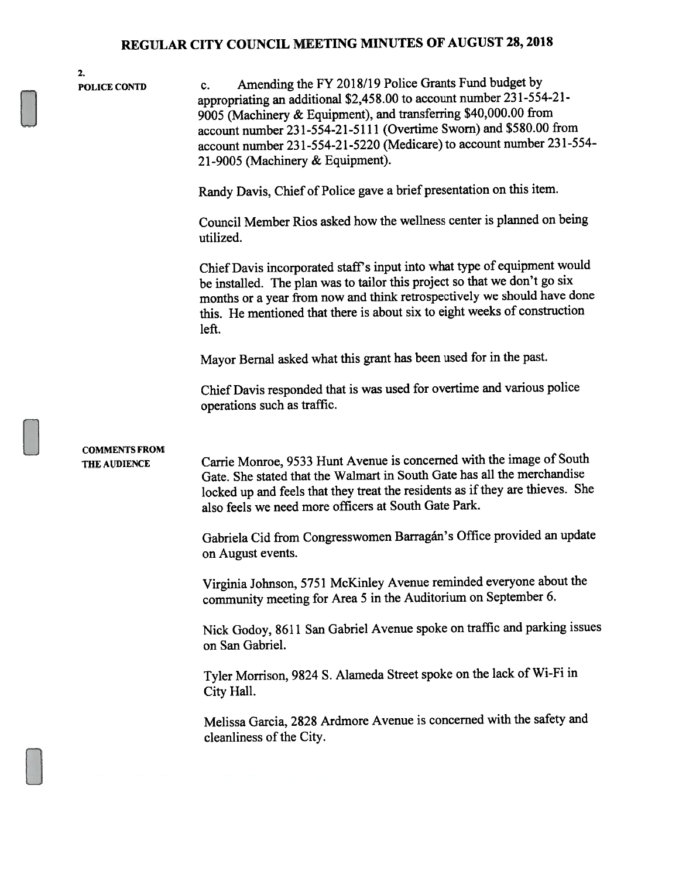| 2.<br><b>POLICE CONTD</b>            | Amending the FY 2018/19 Police Grants Fund budget by<br>$c_{\cdot}$<br>appropriating an additional \$2,458.00 to account number 231-554-21-<br>9005 (Machinery & Equipment), and transferring \$40,000.00 from<br>account number 231-554-21-5111 (Overtime Sworn) and \$580.00 from<br>account number 231-554-21-5220 (Medicare) to account number 231-554-<br>21-9005 (Machinery & Equipment). |
|--------------------------------------|-------------------------------------------------------------------------------------------------------------------------------------------------------------------------------------------------------------------------------------------------------------------------------------------------------------------------------------------------------------------------------------------------|
|                                      | Randy Davis, Chief of Police gave a brief presentation on this item.                                                                                                                                                                                                                                                                                                                            |
|                                      | Council Member Rios asked how the wellness center is planned on being<br>utilized.                                                                                                                                                                                                                                                                                                              |
|                                      | Chief Davis incorporated staff's input into what type of equipment would<br>be installed. The plan was to tailor this project so that we don't go six<br>months or a year from now and think retrospectively we should have done<br>this. He mentioned that there is about six to eight weeks of construction<br>left.                                                                          |
|                                      | Mayor Bernal asked what this grant has been used for in the past.                                                                                                                                                                                                                                                                                                                               |
|                                      | Chief Davis responded that is was used for overtime and various police<br>operations such as traffic.                                                                                                                                                                                                                                                                                           |
| <b>COMMENTS FROM</b><br>THE AUDIENCE | Carrie Monroe, 9533 Hunt Avenue is concerned with the image of South<br>Gate. She stated that the Walmart in South Gate has all the merchandise<br>locked up and feels that they treat the residents as if they are thieves. She<br>also feels we need more officers at South Gate Park.                                                                                                        |
|                                      | Gabriela Cid from Congresswomen Barragán's Office provided an update<br>on August events.                                                                                                                                                                                                                                                                                                       |
|                                      | Virginia Johnson, 5751 McKinley Avenue reminded everyone about the<br>community meeting for Area 5 in the Auditorium on September 6.                                                                                                                                                                                                                                                            |
|                                      | Nick Godoy, 8611 San Gabriel Avenue spoke on traffic and parking issues<br>on San Gabriel.                                                                                                                                                                                                                                                                                                      |
|                                      | Tyler Morrison, 9824 S. Alameda Street spoke on the lack of Wi-Fi in<br>City Hall.                                                                                                                                                                                                                                                                                                              |
|                                      | Melissa Garcia, 2828 Ardmore Avenue is concerned with the safety and<br>cleanliness of the City.                                                                                                                                                                                                                                                                                                |
|                                      |                                                                                                                                                                                                                                                                                                                                                                                                 |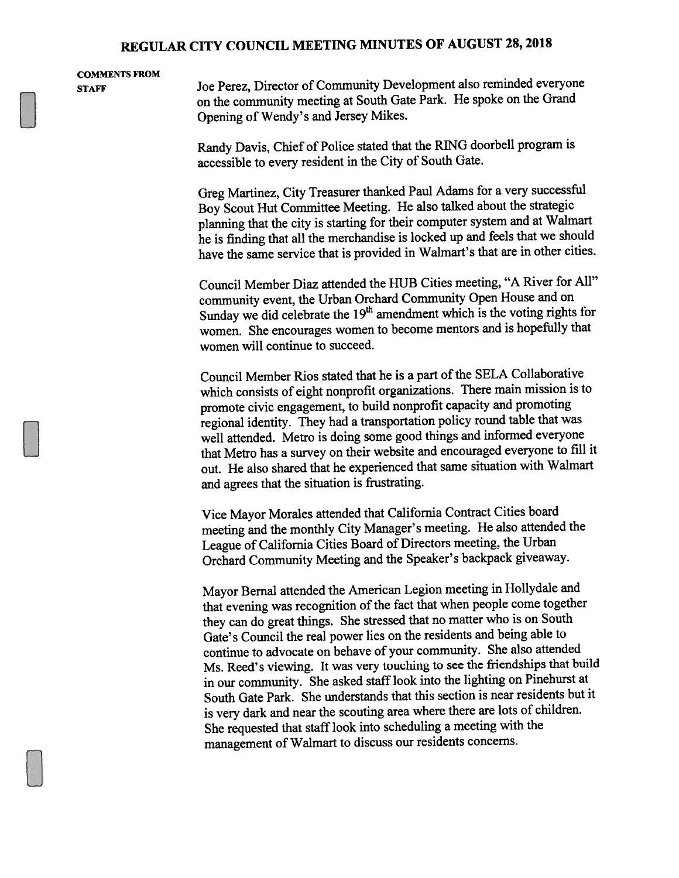# COMMENTS FROM

STAFF Joe Perez, Director of Community Development also reminded everyone on the community meeting at South Gate Park. He spoke on the Grand Opening of Wendy's and Jersey Mikes.

> Randy Davis, Chief of Police stated that the RING doorbell program is accessible to every resident in the City of South Gate.

Greg Martinez, City Treasurer thanked Paul Adams for <sup>a</sup> very successful Boy Scout Hut Committee Meeting. He also talked about the strategic <sup>p</sup>lanning that the city is starting for their computer system and at Walmart he is finding that all the merchandise is locked up and feels that we should have the same service that is provided in Walmart's that are in other cities.

Council Member Diaz attended the HUB Cities meeting, "A River for All" community event, the Urban Orchard Community Open House and on Sunday we did celebrate the 19<sup>th</sup> amendment which is the voting rights for women. She encourages women to become mentors and is hopefully that women will continue to succeed.

Council Member Rios stated that he is a part of the SELA Collaborative which consists of eight nonprofit organizations. There main mission is to promote civic engagement, to build nonprofit capacity and promoting regional identity. They had <sup>a</sup> transportation policy round table that was well attended. Metro is doing some goo<sup>d</sup> things and informed everyone that Metro has <sup>a</sup> survey on their website and encourage<sup>d</sup> everyone to fill it out. He also shared that he experienced that same situation with Walmart and agrees that the situation is frustrating.

Vice Mayor Morales attended that California Contract Cities board meeting and the monthly City Manager's meeting. He also attended the League of California Cities Board of Directors meeting, the Urban Orchard Community Meeting and the Speaker's backpack <sup>g</sup>iveaway.

Mayor Bernal attended the American Legion meeting in Hollydale and that evening was recognition of the fact that when people come together they can do grea<sup>t</sup> things. She stressed that no matter who is on South Gate's Council the real power lies on the residents and being able to continue to advocate on behave of your community. She also attended Ms. Reed's viewing. It was very touching to see the friendships that build in our community. She asked staff look into the lighting on Pinehurst at South Gate Park. She understands that this section is near residents but it is very dark and near the scouting area where there are lots of children. She requested that staff look into scheduling a meeting with the managemen<sup>t</sup> of Walmart to discuss our residents concerns.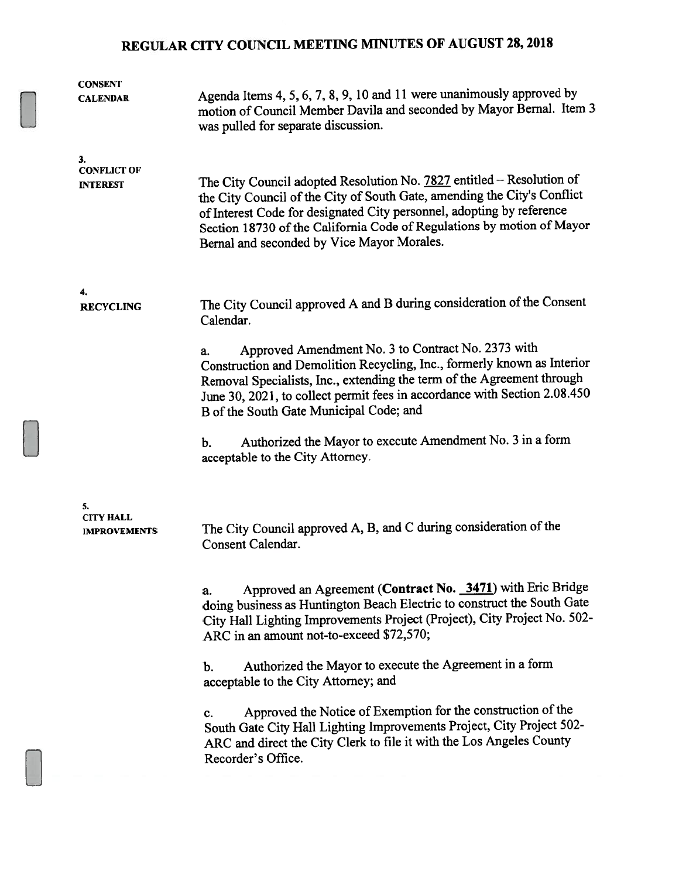| <b>CONSENT</b><br><b>CALENDAR</b>             | Agenda Items 4, 5, 6, 7, 8, 9, 10 and 11 were unanimously approved by<br>motion of Council Member Davila and seconded by Mayor Bernal. Item 3<br>was pulled for separate discussion.                                                                                                                                                               |
|-----------------------------------------------|----------------------------------------------------------------------------------------------------------------------------------------------------------------------------------------------------------------------------------------------------------------------------------------------------------------------------------------------------|
| 3.<br><b>CONFLICT OF</b><br><b>INTEREST</b>   | The City Council adopted Resolution No. 7827 entitled – Resolution of<br>the City Council of the City of South Gate, amending the City's Conflict<br>of Interest Code for designated City personnel, adopting by reference<br>Section 18730 of the California Code of Regulations by motion of Mayor<br>Bernal and seconded by Vice Mayor Morales. |
| 4.<br><b>RECYCLING</b>                        | The City Council approved A and B during consideration of the Consent<br>Calendar.                                                                                                                                                                                                                                                                 |
|                                               | Approved Amendment No. 3 to Contract No. 2373 with<br>a.<br>Construction and Demolition Recycling, Inc., formerly known as Interior<br>Removal Specialists, Inc., extending the term of the Agreement through<br>June 30, 2021, to collect permit fees in accordance with Section 2.08.450<br>B of the South Gate Municipal Code; and              |
|                                               | Authorized the Mayor to execute Amendment No. 3 in a form<br>b.<br>acceptable to the City Attorney.                                                                                                                                                                                                                                                |
| 5.<br><b>CITY HALL</b><br><b>IMPROVEMENTS</b> | The City Council approved A, B, and C during consideration of the<br>Consent Calendar.                                                                                                                                                                                                                                                             |
|                                               | Approved an Agreement (Contract No. 3471) with Eric Bridge<br>a.<br>doing business as Huntington Beach Electric to construct the South Gate<br>City Hall Lighting Improvements Project (Project), City Project No. 502-<br>ARC in an amount not-to-exceed \$72,570;                                                                                |
|                                               | Authorized the Mayor to execute the Agreement in a form<br>b.<br>acceptable to the City Attorney; and                                                                                                                                                                                                                                              |
|                                               | Approved the Notice of Exemption for the construction of the<br>c.<br>South Gate City Hall Lighting Improvements Project, City Project 502-<br>ARC and direct the City Clerk to file it with the Los Angeles County<br>Recorder's Office.                                                                                                          |
|                                               |                                                                                                                                                                                                                                                                                                                                                    |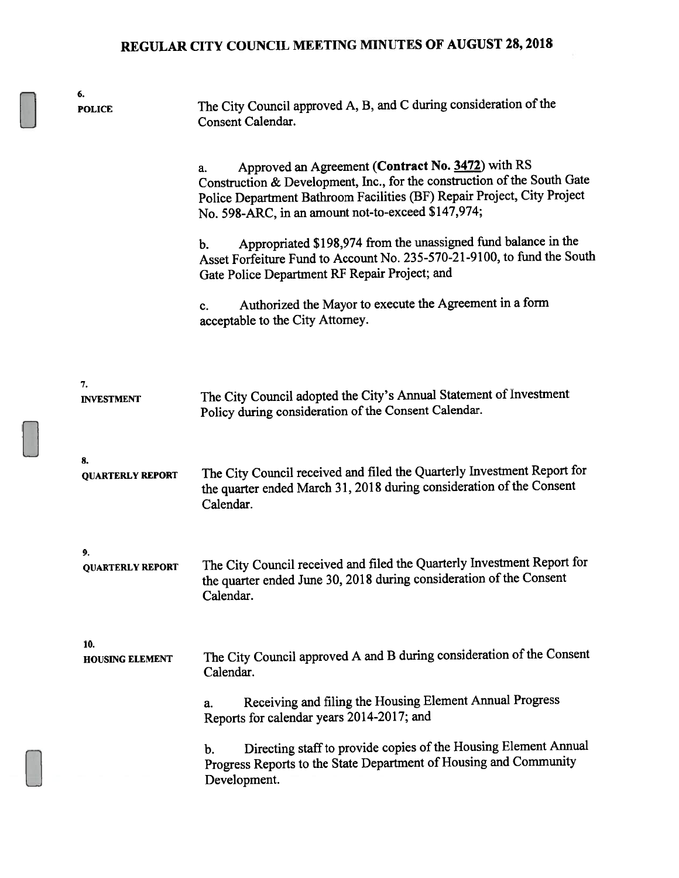| 6.<br><b>POLICE</b>           | The City Council approved A, B, and C during consideration of the<br>Consent Calendar.                                                                                                                                                                               |
|-------------------------------|----------------------------------------------------------------------------------------------------------------------------------------------------------------------------------------------------------------------------------------------------------------------|
|                               | Approved an Agreement (Contract No. 3472) with RS<br>a.<br>Construction & Development, Inc., for the construction of the South Gate<br>Police Department Bathroom Facilities (BF) Repair Project, City Project<br>No. 598-ARC, in an amount not-to-exceed \$147,974; |
|                               | Appropriated \$198,974 from the unassigned fund balance in the<br>b.<br>Asset Forfeiture Fund to Account No. 235-570-21-9100, to fund the South<br>Gate Police Department RF Repair Project; and                                                                     |
|                               | Authorized the Mayor to execute the Agreement in a form<br>c.<br>acceptable to the City Attorney.                                                                                                                                                                    |
| 7.<br><b>INVESTMENT</b>       | The City Council adopted the City's Annual Statement of Investment<br>Policy during consideration of the Consent Calendar.                                                                                                                                           |
| 8.<br><b>QUARTERLY REPORT</b> | The City Council received and filed the Quarterly Investment Report for<br>the quarter ended March 31, 2018 during consideration of the Consent<br>Calendar.                                                                                                         |
| 9.<br><b>QUARTERLY REPORT</b> | The City Council received and filed the Quarterly Investment Report for<br>the quarter ended June 30, 2018 during consideration of the Consent<br>Calendar.                                                                                                          |
| 10.<br><b>HOUSING ELEMENT</b> | The City Council approved A and B during consideration of the Consent<br>Calendar.                                                                                                                                                                                   |
|                               | Receiving and filing the Housing Element Annual Progress<br>a.<br>Reports for calendar years 2014-2017; and                                                                                                                                                          |
|                               | Directing staff to provide copies of the Housing Element Annual<br>b.<br>Progress Reports to the State Department of Housing and Community<br>Development.                                                                                                           |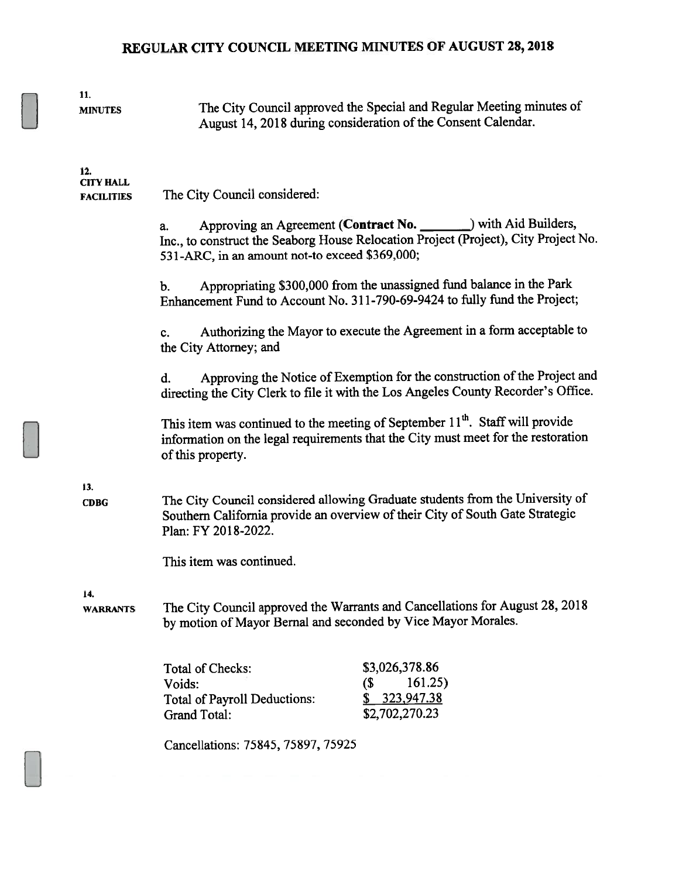| 11.<br><b>MINUTES</b>                        | The City Council approved the Special and Regular Meeting minutes of<br>August 14, 2018 during consideration of the Consent Calendar.                                                                           |  |
|----------------------------------------------|-----------------------------------------------------------------------------------------------------------------------------------------------------------------------------------------------------------------|--|
| 12.<br><b>CITY HALL</b><br><b>FACILITIES</b> | The City Council considered:                                                                                                                                                                                    |  |
|                                              | Approving an Agreement (Contract No. _______) with Aid Builders,<br>a.<br>Inc., to construct the Seaborg House Relocation Project (Project), City Project No.<br>531-ARC, in an amount not-to exceed \$369,000; |  |
|                                              | Appropriating \$300,000 from the unassigned fund balance in the Park<br>b.<br>Enhancement Fund to Account No. 311-790-69-9424 to fully fund the Project;                                                        |  |
|                                              | Authorizing the Mayor to execute the Agreement in a form acceptable to<br>c.<br>the City Attorney; and                                                                                                          |  |
|                                              | Approving the Notice of Exemption for the construction of the Project and<br>d.<br>directing the City Clerk to file it with the Los Angeles County Recorder's Office.                                           |  |
|                                              | This item was continued to the meeting of September 11 <sup>th</sup> . Staff will provide<br>information on the legal requirements that the City must meet for the restoration<br>of this property.             |  |
| 13.<br><b>CDBG</b>                           | The City Council considered allowing Graduate students from the University of<br>Southern California provide an overview of their City of South Gate Strategic<br>Plan: FY 2018-2022.                           |  |
|                                              | This item was continued.                                                                                                                                                                                        |  |
| 14.<br><b>WARRANTS</b>                       | The City Council approved the Warrants and Cancellations for August 28, 2018<br>by motion of Mayor Bernal and seconded by Vice Mayor Morales.                                                                   |  |
|                                              | \$3,026,378.86<br><b>Total of Checks:</b><br>161.25)<br>(\$<br>Voids:<br>323,947.38<br><b>Total of Payroll Deductions:</b><br>\$2,702,270.23<br><b>Grand Total:</b>                                             |  |
|                                              | Cancellations: 75845, 75897, 75925                                                                                                                                                                              |  |
|                                              |                                                                                                                                                                                                                 |  |